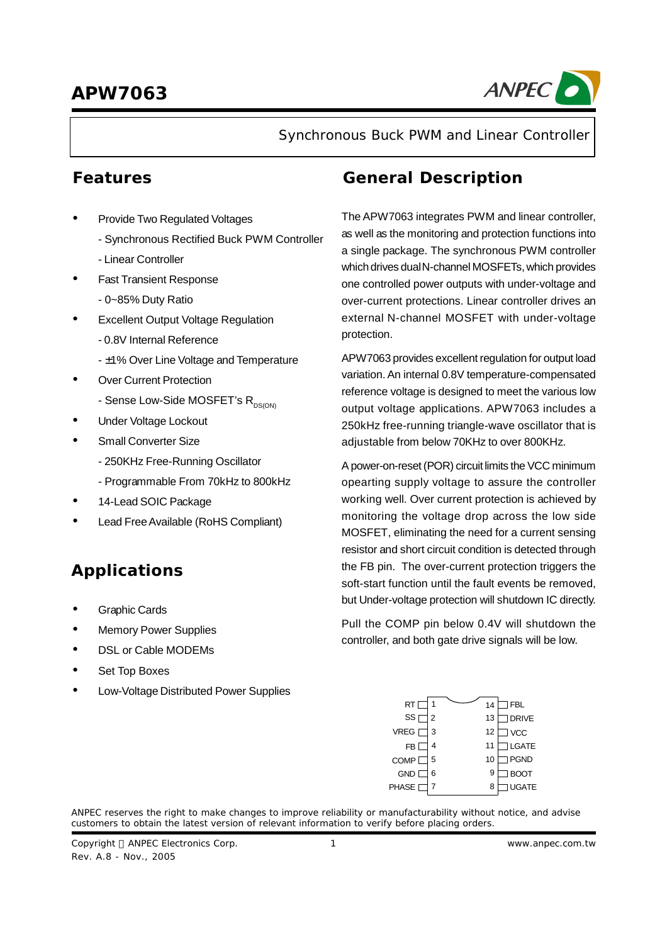# **APW7063**



Synchronous Buck PWM and Linear Controller

- **·** Provide Two Regulated Voltages
	- Synchronous Rectified Buck PWM Controller
	- Linear Controller
- **·** Fast Transient Response
	- 0~85% Duty Ratio
- **Excellent Output Voltage Regulation** 
	- 0.8V Internal Reference
	- ±1% Over Line Voltage and Temperature
- **·** Over Current Protection
	- Sense Low-Side MOSFET's  $R_{DS(OM)}$
- **·** Under Voltage Lockout
- **·** Small Converter Size
	- 250KHz Free-Running Oscillator
	- Programmable From 70kHz to 800kHz
- **·** 14-Lead SOIC Package
- **·** Lead FreeAvailable (RoHS Compliant)

# **Applications**

- **·** Graphic Cards
- **·** Memory Power Supplies
- **·** DSL or Cable MODEMs
- **·** Set Top Boxes
- **·** Low-Voltage Distributed Power Supplies

## **Features General Description**

The APW7063 integrates PWM and linear controller, as well as the monitoring and protection functions into a single package. The synchronous PWM controller which drives dualN-channel MOSFETs, which provides one controlled power outputs with under-voltage and over-current protections. Linear controller drives an external N-channel MOSFET with under-voltage protection.

APW7063 provides excellent regulation for output load variation. An internal 0.8V temperature-compensated reference voltage is designed to meet the various low output voltage applications. APW7063 includes a 250kHz free-running triangle-wave oscillator that is adjustable from below 70KHz to over 800KHz.

Apower-on-reset (POR) circuit limits the VCC minimum opearting supply voltage to assure the controller working well. Over current protection is achieved by monitoring the voltage drop across the low side MOSFET, eliminating the need for a current sensing resistor and short circuit condition is detected through the FB pin. The over-current protection triggers the soft-start function until the fault events be removed, but Under-voltage protection will shutdown IC directly.

Pull the COMP pin below 0.4V will shutdown the controller, and both gate drive signals will be low.

| RT           | 1 | 14 | <b>FBL</b>   |
|--------------|---|----|--------------|
| SS           | 2 | 13 | <b>DRIVE</b> |
| <b>VREG</b>  | 3 | 12 | <b>VCC</b>   |
| FB           | 4 | 11 | <b>LGATE</b> |
| <b>COMP</b>  | 5 | 10 | <b>PGND</b>  |
| <b>GND</b>   | 6 | 9  | <b>BOOT</b>  |
| <b>PHASE</b> |   | 8  | JGATE        |

ANPEC reserves the right to make changes to improve reliability or manufacturability without notice, and advise customers to obtain the latest version of relevant information to verify before placing orders.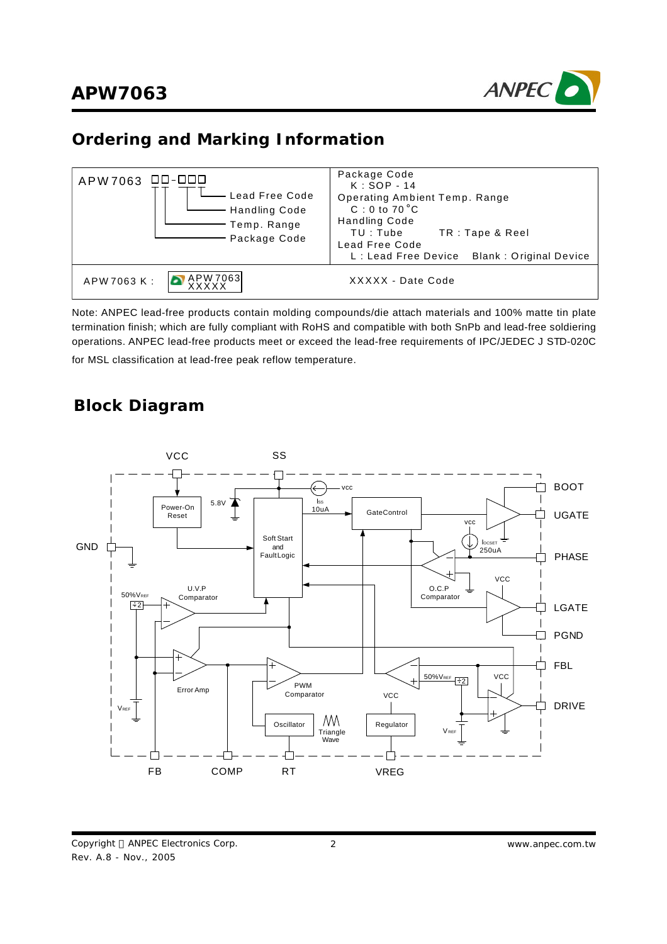

## **Ordering and Marking Information**



Note: ANPEC lead-free products contain molding compounds/die attach materials and 100% matte tin plate termination finish; which are fully compliant with RoHS and compatible with both SnPb and lead-free soldiering operations. ANPEC lead-free products meet or exceed the lead-free requirements of IPC/JEDEC J STD-020C for MSL classification at lead-free peak reflow temperature.

## **Block Diagram**

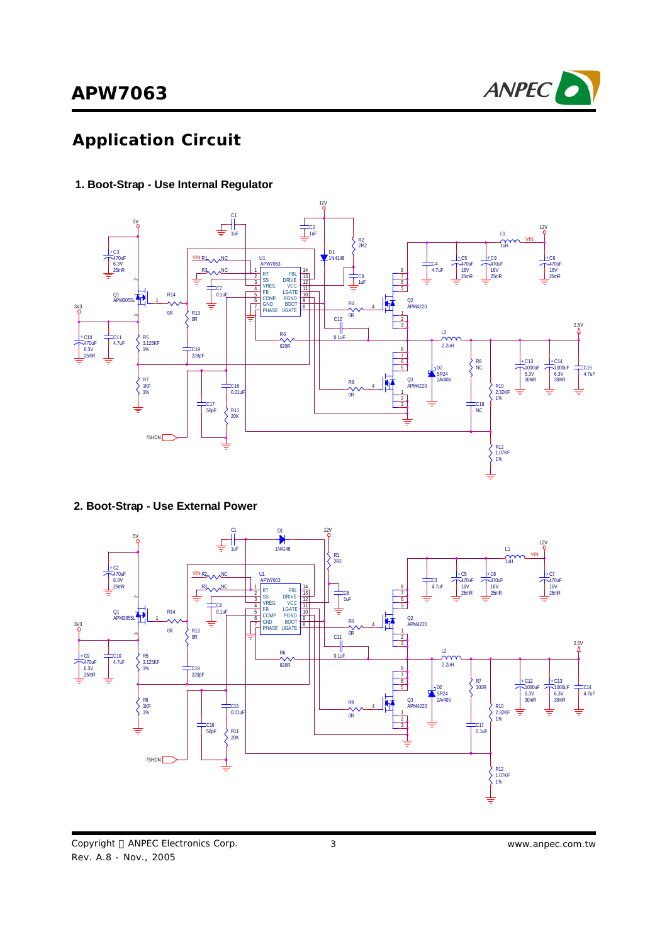

# **Application Circuit**

#### **1. Boot-Strap - Use Internal Regulator**



**2. Boot-Strap - Use External Power**

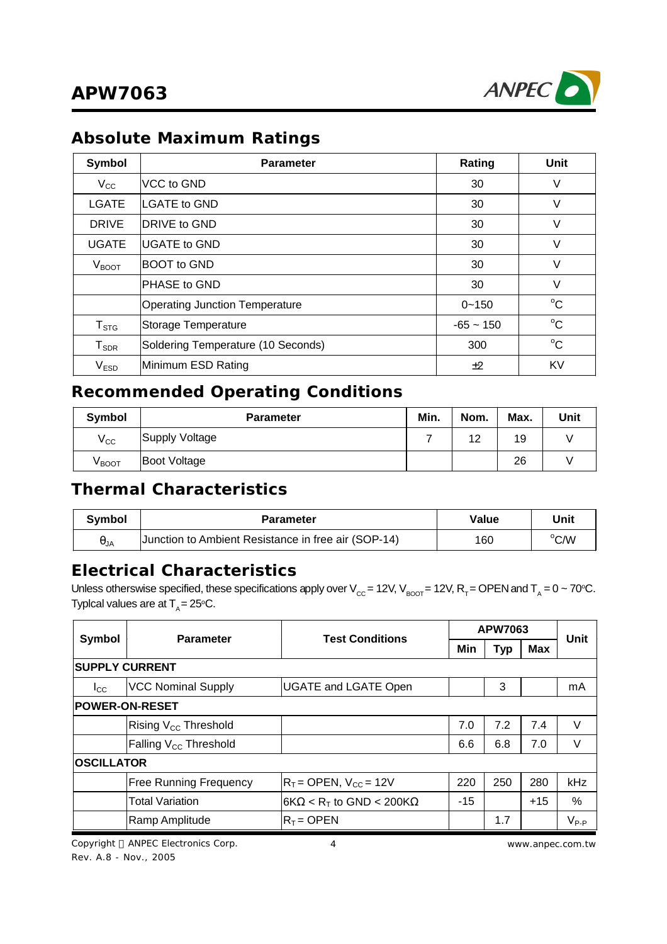

## **Absolute Maximum Ratings**

| Symbol              | <b>Parameter</b>                      | Rating      | Unit        |
|---------------------|---------------------------------------|-------------|-------------|
| $V_{\rm CC}$        | VCC to GND                            | 30          | V           |
| <b>LGATE</b>        | <b>ILGATE to GND</b>                  | 30          | V           |
| <b>DRIVE</b>        | DRIVE to GND                          | 30          | V           |
| <b>UGATE</b>        | <b>IUGATE to GND</b>                  | 30          | V           |
| $\rm V_{BOOT}$      | <b>BOOT</b> to GND                    | 30          | V           |
|                     | PHASE to GND                          | 30          | V           |
|                     | <b>Operating Junction Temperature</b> | $0 - 150$   | $^{\circ}C$ |
| $T_{\mathtt{STG}}$  | Storage Temperature                   | $-65 - 150$ | $^{\circ}C$ |
| ${\sf T}_{\sf SDR}$ | Soldering Temperature (10 Seconds)    | 300         | $^{\circ}C$ |
| V <sub>ESD</sub>    | Minimum ESD Rating                    | ±2          | KV          |

## **Recommended Operating Conditions**

| Symbol       | <b>Parameter</b>    |  | Nom. | Max. | Unit |
|--------------|---------------------|--|------|------|------|
| $V_{\rm CC}$ | Supply Voltage      |  | 12   | 19   |      |
| Vвоот        | <b>Boot Voltage</b> |  |      | 26   |      |

# **Thermal Characteristics**

| <b>Symbol</b> | <b>Parameter</b>                                    | Value | Unit |
|---------------|-----------------------------------------------------|-------|------|
| $\theta_{JA}$ | Junction to Ambient Resistance in free air (SOP-14) | 160   | °C/W |

## **Electrical Characteristics**

Unless otherswise specified, these specifications apply over V<sub>cc</sub> = 12V, V<sub>BOOT</sub> = 12V, R<sub>T</sub> = OPEN and T<sub>A</sub> = 0 ~ 70°C. Typlcal values are at  $T_{\rm A}$ = 25°C.

|                       | <b>Parameter</b>                  | <b>Test Conditions</b>                              | APW7063 |            | Unit       |           |
|-----------------------|-----------------------------------|-----------------------------------------------------|---------|------------|------------|-----------|
| <b>Symbol</b>         |                                   |                                                     | Min     | <b>Typ</b> | <b>Max</b> |           |
| <b>SUPPLY CURRENT</b> |                                   |                                                     |         |            |            |           |
| $_{\rm lcc}$          | <b>VCC Nominal Supply</b>         | <b>UGATE and LGATE Open</b>                         |         | 3          |            | mA        |
| <b>POWER-ON-RESET</b> |                                   |                                                     |         |            |            |           |
|                       | Rising V <sub>cc</sub> Threshold  |                                                     | 7.0     | 7.2        | 7.4        | V         |
|                       | Falling V <sub>cc</sub> Threshold |                                                     | 6.6     | 6.8        | 7.0        | $\vee$    |
| <b>OSCILLATOR</b>     |                                   |                                                     |         |            |            |           |
|                       | <b>Free Running Frequency</b>     | $R_T =$ OPEN, $V_{CC} = 12V$                        | 220     | 250        | 280        | kHz       |
|                       | <b>Total Variation</b>            | $ 6K\Omega$ < R <sub>T</sub> to GND < 200K $\Omega$ | $-15$   |            | $+15$      | %         |
|                       | Ramp Amplitude                    | $R_T = \text{OPEN}$                                 |         | 1.7        |            | $V_{P-P}$ |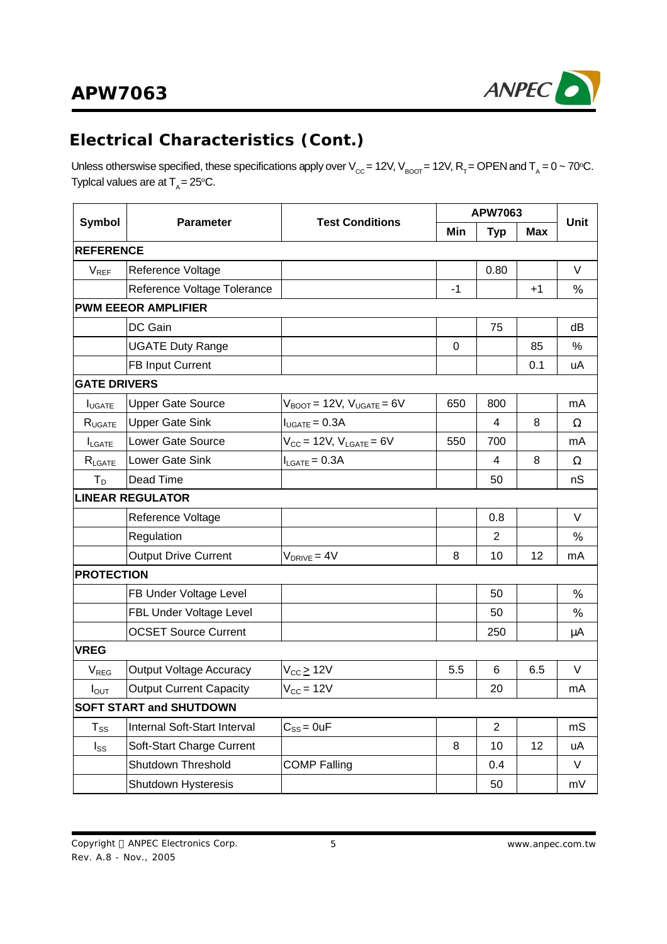# **APW7063**



# **Electrical Characteristics (Cont.)**

Unless otherswise specified, these specifications apply over V<sub>cc</sub> = 12V, V<sub>BOOT</sub> = 12V, R<sub>T</sub> = OPEN and T<sub>A</sub> = 0 ~ 70°C. Typlcal values are at  $T_{\rm A}$ = 25°C.

|                            |                                            |                                                  |      | <b>APW7063</b> |            |             |
|----------------------------|--------------------------------------------|--------------------------------------------------|------|----------------|------------|-------------|
| <b>Symbol</b>              | <b>Test Conditions</b><br><b>Parameter</b> |                                                  | Min  | <b>Typ</b>     | <b>Max</b> | <b>Unit</b> |
| <b>REFERENCE</b>           |                                            |                                                  |      |                |            |             |
| $V_{REF}$                  | Reference Voltage                          |                                                  |      | 0.80           |            | V           |
|                            | Reference Voltage Tolerance                |                                                  | $-1$ |                | $+1$       | $\%$        |
|                            | <b>PWM EEEOR AMPLIFIER</b>                 |                                                  |      |                |            |             |
|                            | DC Gain                                    |                                                  |      | 75             |            | dB          |
|                            | <b>UGATE Duty Range</b>                    |                                                  | 0    |                | 85         | %           |
|                            | <b>FB Input Current</b>                    |                                                  |      |                | 0.1        | uA          |
| <b>GATE DRIVERS</b>        |                                            |                                                  |      |                |            |             |
| <b>I</b> UGATE             | <b>Upper Gate Source</b>                   | $V_{\text{BOOT}}$ = 12V, $V_{\text{UGATE}}$ = 6V | 650  | 800            |            | mA          |
| $R_{UGATE}$                | <b>Upper Gate Sink</b>                     | $I_{UGATE} = 0.3A$                               |      | 4              | 8          | Ω           |
| $I_{\text{LGATE}}$         | Lower Gate Source                          | $V_{CC}$ = 12V, $V_{LGATE}$ = 6V                 | 550  | 700            |            | mA          |
| $R_{\text{LGATE}}$         | Lower Gate Sink                            | $I_{LGATE} = 0.3A$                               |      | 4              | 8          | Ω           |
| $T_D$                      | Dead Time                                  |                                                  |      | 50             |            | nS          |
|                            | <b>LINEAR REGULATOR</b>                    |                                                  |      |                |            |             |
|                            | Reference Voltage                          |                                                  |      | 0.8            |            | V           |
|                            | Regulation                                 |                                                  |      | $\overline{2}$ |            | $\%$        |
|                            | <b>Output Drive Current</b>                | $V_{DRIVE} = 4V$                                 | 8    | 10             | 12         | mA          |
| <b>PROTECTION</b>          |                                            |                                                  |      |                |            |             |
|                            | FB Under Voltage Level                     |                                                  |      | 50             |            | $\%$        |
|                            | FBL Under Voltage Level                    |                                                  |      | 50             |            | %           |
|                            | <b>OCSET Source Current</b>                |                                                  |      | 250            |            | μA          |
| <b>VREG</b>                |                                            |                                                  |      |                |            |             |
| V <sub>REG</sub>           | Output Voltage Accuracy                    | $V_{CC}$ $\geq$ 12V                              | 5.5  | 6              | 6.5        | V           |
| $I_{\text{OUT}}$           | <b>Output Current Capacity</b>             | $V_{\text{CC}} = 12V$                            |      | 20             |            | mA          |
|                            | <b>SOFT START and SHUTDOWN</b>             |                                                  |      |                |            |             |
| $\mathsf{T}_{\texttt{SS}}$ | Internal Soft-Start Interval               | $C_{SS} = 0$ uF                                  |      | $\overline{2}$ |            | mS          |
| $I_{SS}$                   | Soft-Start Charge Current                  |                                                  | 8    | 10             | 12         | uA          |
|                            | Shutdown Threshold                         | <b>COMP Falling</b>                              |      | 0.4            |            | V           |
|                            | Shutdown Hysteresis                        |                                                  |      | 50             |            | mV          |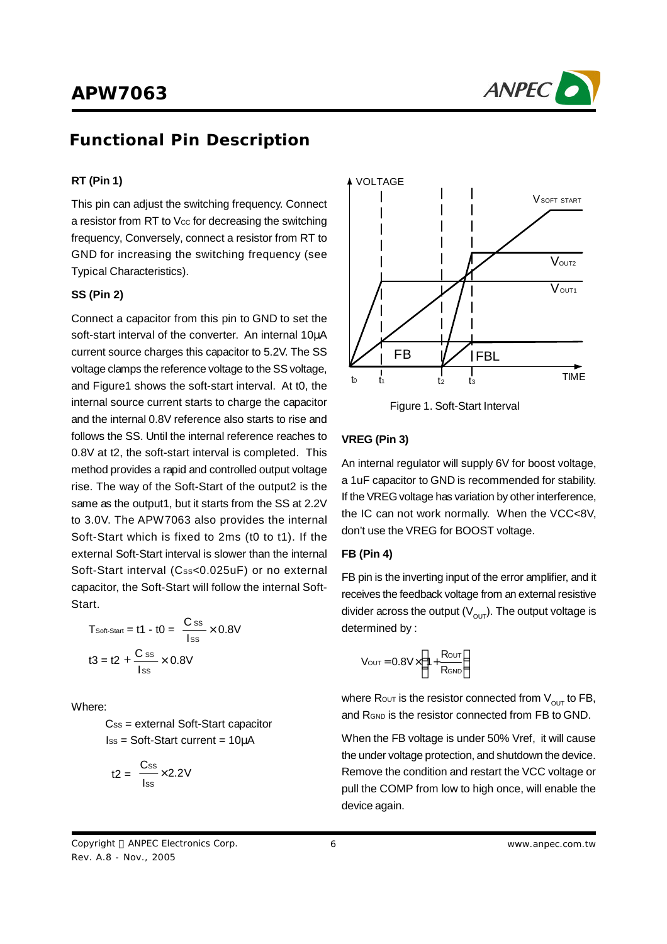

## **Functional Pin Description**

## **RT (Pin 1)**

This pin can adjust the switching frequency. Connect a resistor from RT to Vcc for decreasing the switching frequency, Conversely, connect a resistor from RT to GND for increasing the switching frequency (see Typical Characteristics).

#### **SS (Pin 2)**

Connect a capacitor from this pin to GND to set the soft-start interval of the converter. An internal 10μA current source charges this capacitor to 5.2V. The SS voltage clamps the reference voltage to the SS voltage, and Figure1 shows the soft-start interval. At t0, the internal source current starts to charge the capacitor and the internal 0.8V reference also starts to rise and follows the SS. Until the internal reference reaches to 0.8V at t2, the soft-start interval is completed. This method provides a rapid and controlled output voltage rise. The way of the Soft-Start of the output2 is the same as the output1, but it starts from the SS at 2.2V to 3.0V. The APW7063 also provides the internal Soft-Start which is fixed to 2ms (t0 to t1). If the external Soft-Start interval is slower than the internal Soft-Start interval (Css<0.025uF) or no external capacitor, the Soft-Start will follow the internal Soft-Start.

$$
T_{\text{Soft-Start}} = t1 - t0 = \frac{C \text{ ss}}{I \text{ ss}} \times 0.8V
$$

$$
t3 = t2 + \frac{C \text{ ss}}{I \text{ ss}} \times 0.8V
$$

Where:

 $Cs<sub>ss</sub> = external Soft-Start capacitor$ ISS = Soft-Start current = 10μA

$$
t2 = \frac{Css}{\text{lss}} \times 2.2V
$$



Figure 1. Soft-Start Interval

#### **VREG (Pin 3)**

An internal regulator will supply 6V for boost voltage, a 1uF capacitor to GND is recommended for stability. If the VREG voltage has variation by other interference, the IC can not work normally. When the VCC<8V, don't use the VREG for BOOST voltage.

#### **FB (Pin 4)**

FB pin is the inverting input of the error amplifier, and it receives the feedback voltage from an external resistive divider across the output (V $_{\text{OUT}}$ ). The output voltage is determined by :

$$
V_{OUT} = 0.8V \times \left(1 + \frac{R_{OUT}}{R_{GND}}\right)
$$

where Rout is the resistor connected from  $\mathsf{V}_{\mathsf{OUT}}^{\phantom{\dag}}$  to FB, and R<sub>GND</sub> is the resistor connected from FB to GND.

When the FB voltage is under 50% Vref, it will cause the under voltage protection, and shutdown the device. Remove the condition and restart the VCC voltage or pull the COMP from low to high once, will enable the device again.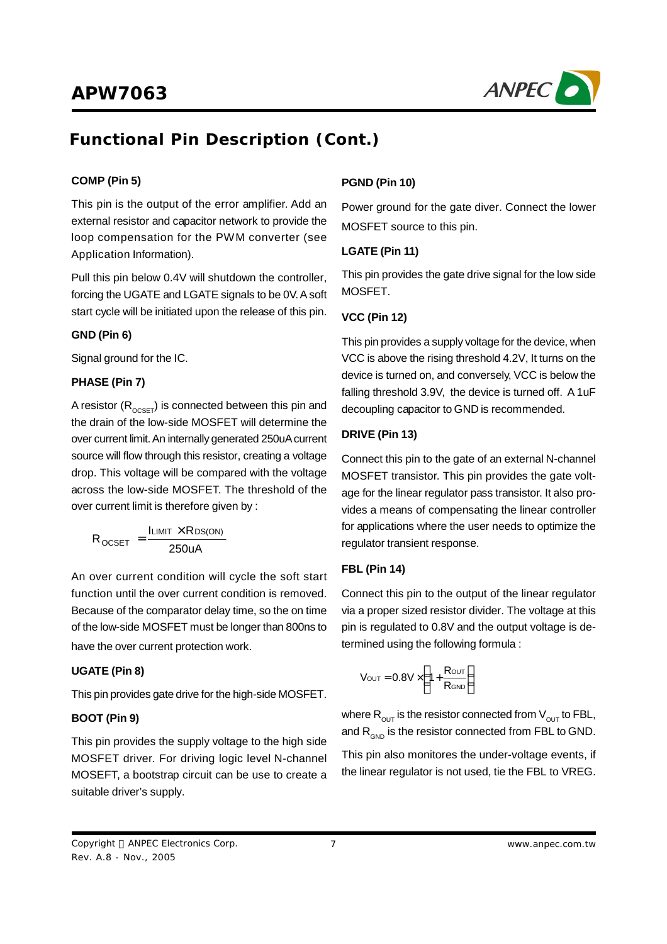

# **Functional Pin Description (Cont.)**

## **COMP (Pin 5)**

This pin is the output of the error amplifier. Add an external resistor and capacitor network to provide the loop compensation for the PWM converter (see Application Information).

Pull this pin below 0.4V will shutdown the controller, forcing the UGATE and LGATE signals to be 0V. A soft start cycle will be initiated upon the release of this pin.

## **GND (Pin 6)**

Signal ground for the IC.

## **PHASE (Pin 7)**

A resistor ( $\mathsf{R}_{\text{OCSET}}$ ) is connected between this pin and the drain of the low-side MOSFET will determine the over current limit. An internally generated 250uA current source will flow through this resistor, creating a voltage drop. This voltage will be compared with the voltage across the low-side MOSFET. The threshold of the over current limit is therefore given by :

$$
R_{\text{OCSET}} = \frac{I_{\text{LIMIT}} \times R_{\text{DS(ON)}}}{250 \text{uA}}
$$

An over current condition will cycle the soft start function until the over current condition is removed. Because of the comparator delay time, so the on time of the low-side MOSFET must be longer than 800ns to have the over current protection work.

## **UGATE (Pin 8)**

This pin provides gate drive for the high-side MOSFET.

## **BOOT (Pin 9)**

This pin provides the supply voltage to the high side MOSFET driver. For driving logic level N-channel MOSEFT, a bootstrap circuit can be use to create a suitable driver's supply.

## **PGND (Pin 10)**

Power ground for the gate diver. Connect the lower MOSFET source to this pin.

## **LGATE (Pin 11)**

This pin provides the gate drive signal for the low side MOSFET.

## **VCC (Pin 12)**

This pin provides a supply voltage for the device, when VCC is above the rising threshold 4.2V, It turns on the device is turned on, and conversely, VCC is below the falling threshold 3.9V, the device is turned off. A 1uF decoupling capacitor to GND is recommended.

## **DRIVE (Pin 13)**

Connect this pin to the gate of an external N-channel MOSFET transistor. This pin provides the gate voltage for the linear regulator pass transistor. It also provides a means of compensating the linear controller for applications where the user needs to optimize the regulator transient response.

## **FBL (Pin 14)**

Connect this pin to the output of the linear regulator via a proper sized resistor divider. The voltage at this pin is regulated to 0.8V and the output voltage is determined using the following formula :

$$
V_{\text{OUT}} = 0.8V \times \left(1 + \frac{R_{\text{OUT}}}{R_{\text{GND}}}\right)
$$

where  $\mathsf{R}_{\mathsf{OUT}}$  is the resistor connected from  $\mathsf{V}_{\mathsf{OUT}}$  to FBL, and  $\mathsf{R}_{\mathsf{GND}}$  is the resistor connected from FBL to GND.

This pin also monitores the under-voltage events, if the linear regulator is not used, tie the FBL to VREG.

Copyright © ANPEC Electronics Corp. Rev. A.8 - Nov., 2005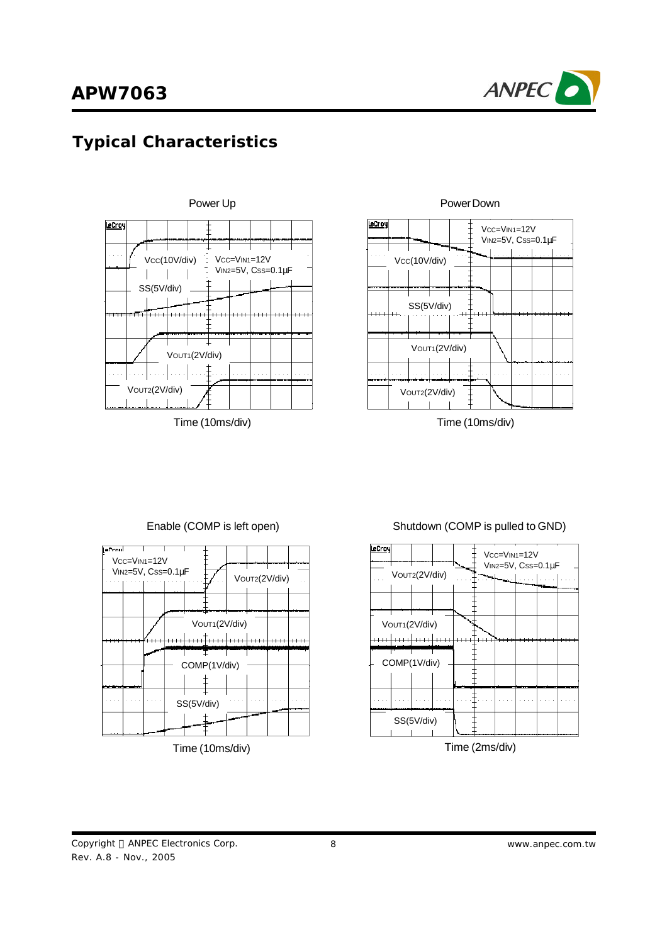

# **Typical Characteristics**





PowerDown

Time (10ms/div) Time (10ms/div)



## Enable (COMP is left open) Shutdown (COMP is pulled to GND)

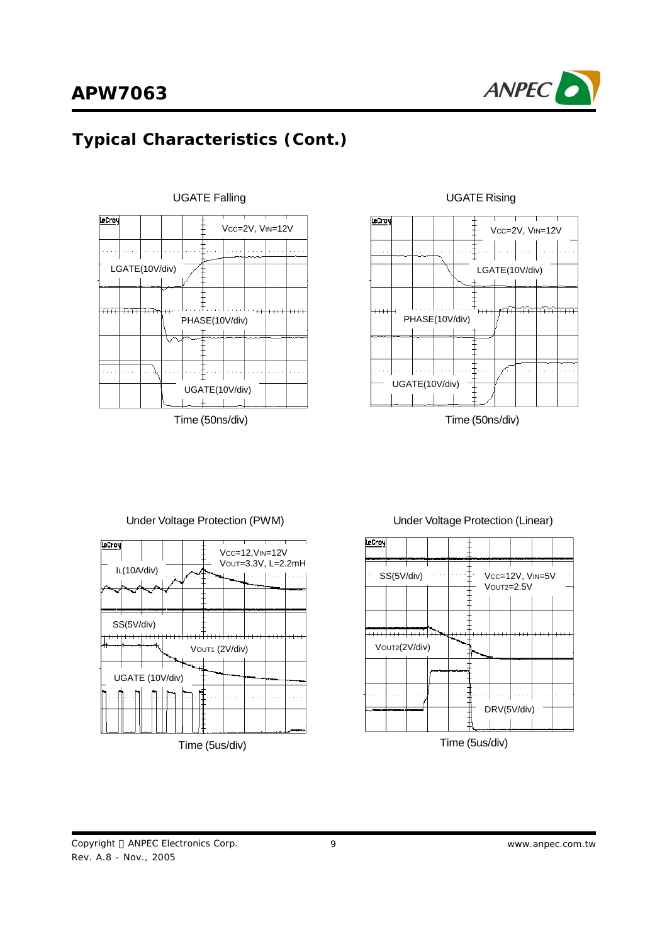



Time (50ns/div) Time (50ns/div)







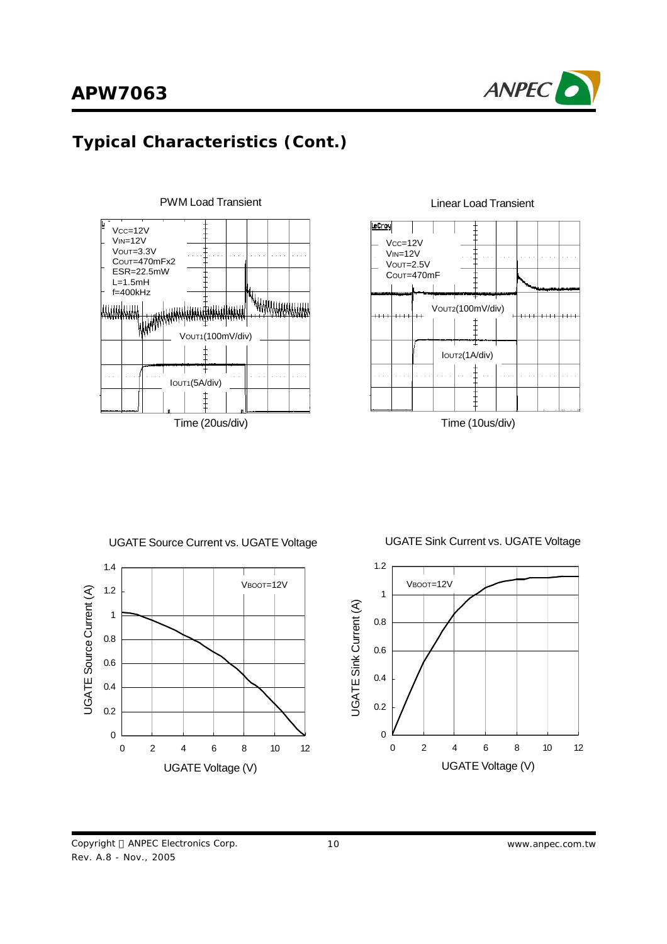







## UGATE Source Current vs. UGATE Voltage

Copyright © ANPEC Electronics Corp. Rev. A.8 - Nov., 2005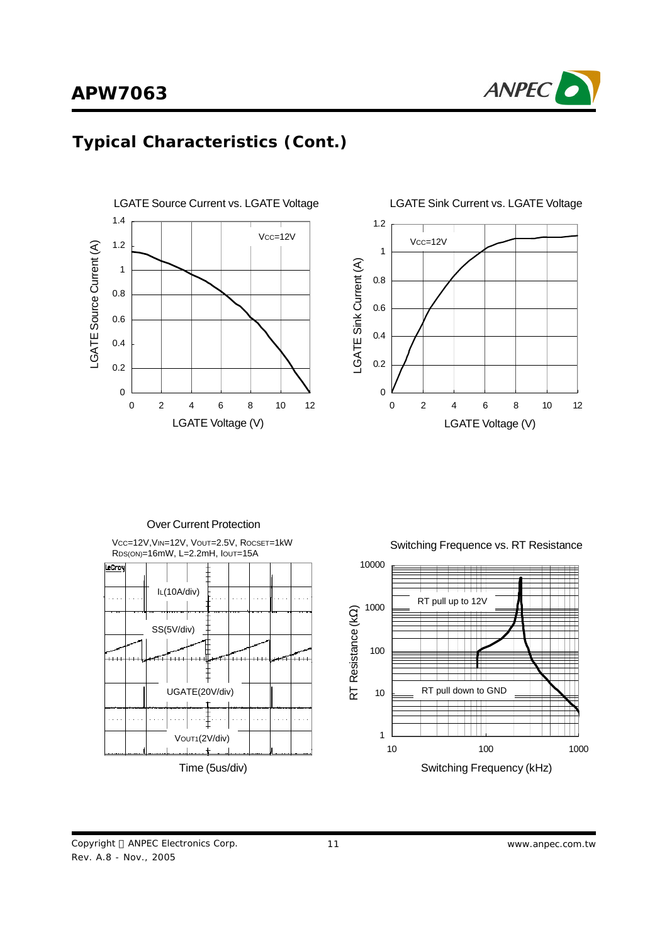





Over Current Protection

VCC=12V,VIN=12V, VOUT=2.5V, ROCSET=1kW RDS(ON)=16mW, L=2.2mH, IOUT=15A



Switching Frequence vs. RT Resistance

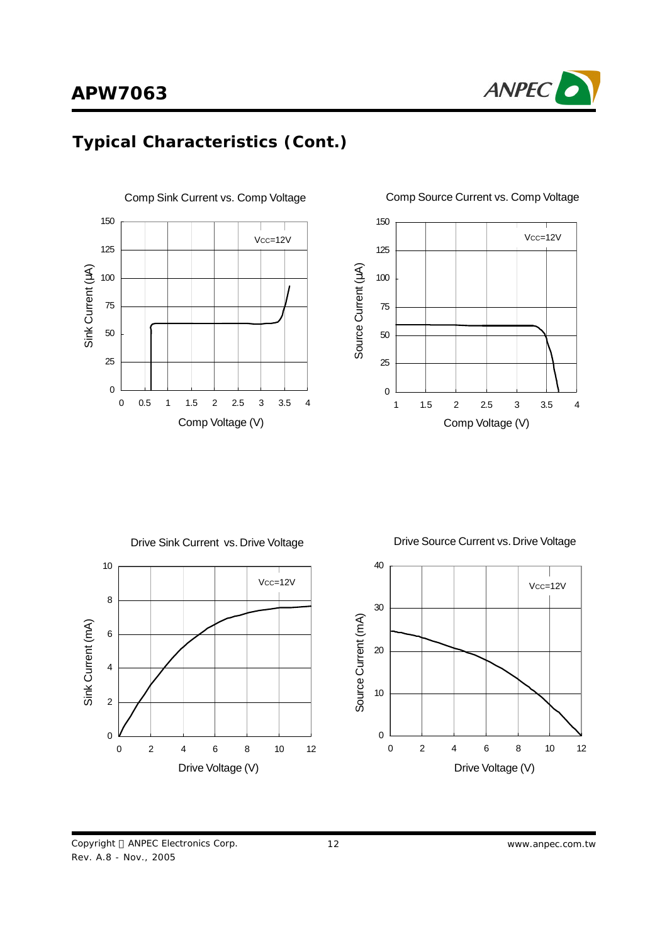





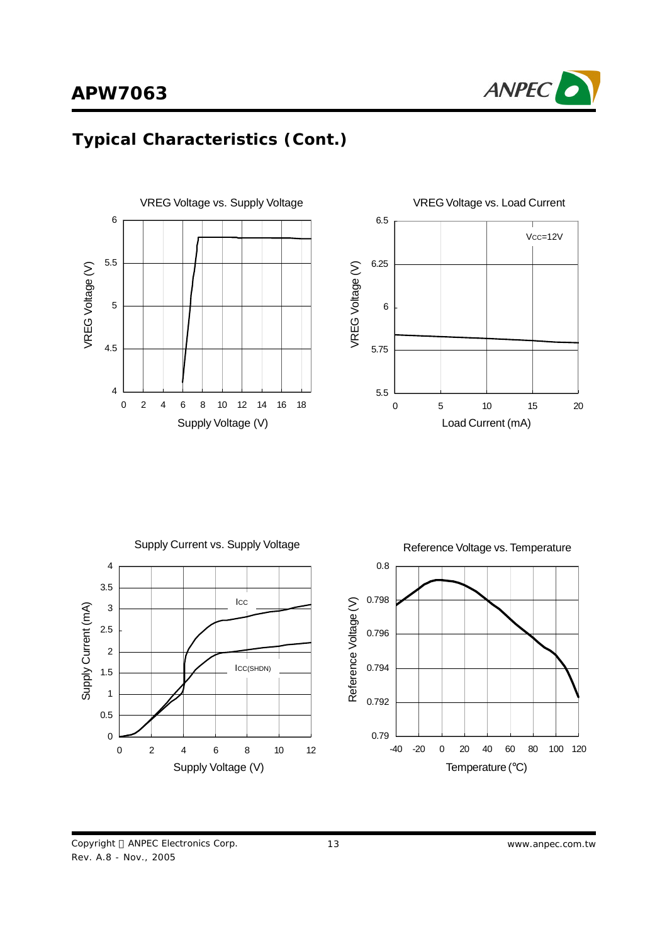







Copyright © ANPEC Electronics Corp. Rev. A.8 - Nov., 2005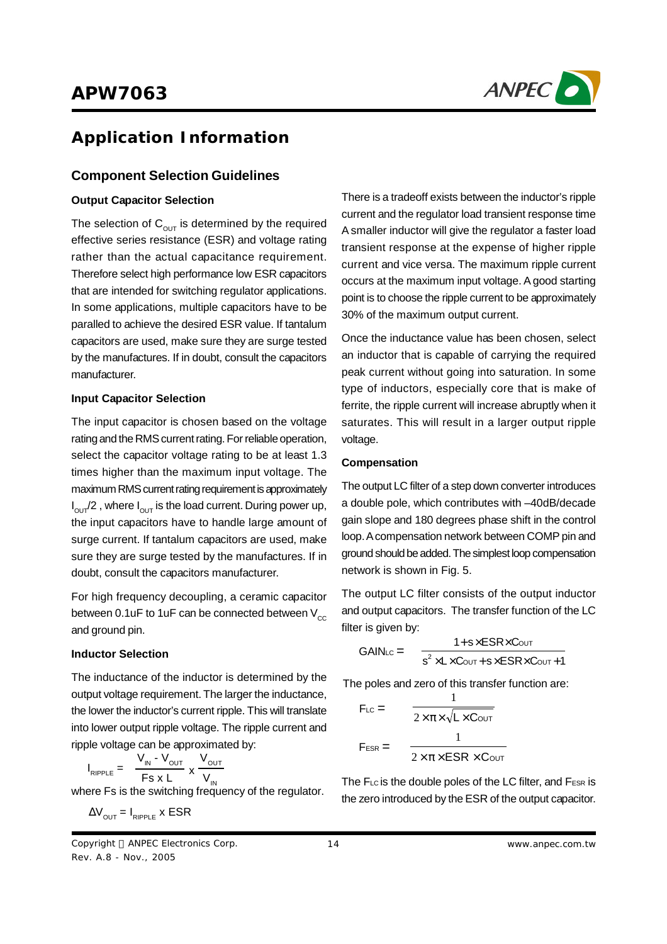

## **Application Information**

## **Component Selection Guidelines**

#### **Output Capacitor Selection**

The selection of  $\mathtt{C_{\mathrm{out}}}$  is determined by the required effective series resistance (ESR) and voltage rating rather than the actual capacitance requirement. Therefore select high performance low ESR capacitors that are intended for switching regulator applications. In some applications, multiple capacitors have to be paralled to achieve the desired ESR value. If tantalum capacitors are used, make sure they are surge tested by the manufactures. If in doubt, consult the capacitors manufacturer.

#### **Input Capacitor Selection**

The input capacitor is chosen based on the voltage rating and the RMS current rating. For reliable operation, select the capacitor voltage rating to be at least 1.3 times higher than the maximum input voltage. The maximum RMS current rating requirement is approximately  $I_{\text{OUT}}/2$  , where  $I_{\text{OUT}}$  is the load current. During power up, the input capacitors have to handle large amount of surge current. If tantalum capacitors are used, make sure they are surge tested by the manufactures. If in doubt, consult the capacitors manufacturer.

For high frequency decoupling, a ceramic capacitor between 0.1uF to 1uF can be connected between  $V_{cc}$ and ground pin.

#### **Inductor Selection**

The inductance of the inductor is determined by the output voltage requirement. The larger the inductance, the lower the inductor's current ripple. This will translate into lower output ripple voltage. The ripple current and ripple voltage can be approximated by:

$$
I_{RIPPLE} = \frac{V_{IN} - V_{OUT}}{Fs \times L} \times \frac{V_{OUT}}{V_{IN}}
$$

where Fs is the switching frequency of the regulator.

$$
\Delta V_{\text{OUT}} = I_{\text{RIPPLE}} \times \text{ESR}
$$

Copyright © ANPEC Electronics Corp. Rev. A.8 - Nov., 2005

There is a tradeoff exists between the inductor's ripple current and the regulator load transient response time A smaller inductor will give the regulator a faster load transient response at the expense of higher ripple current and vice versa. The maximum ripple current occurs at the maximum input voltage. Agood starting point is to choose the ripple current to be approximately 30% of the maximum output current.

Once the inductance value has been chosen, select an inductor that is capable of carrying the required peak current without going into saturation. In some type of inductors, especially core that is make of ferrite, the ripple current will increase abruptly when it saturates. This will result in a larger output ripple voltage.

#### **Compensation**

The output LC filter of a step down converter introduces a double pole, which contributes with –40dB/decade gain slope and 180 degrees phase shift in the control loop. A compensation network between COMP pin and ground should be added. The simplest loop compensation network is shown in Fig. 5.

The output LC filter consists of the output inductor and output capacitors. The transfer function of the LC filter is given by:

$$
GAIN_{LC} = \frac{1 + s \times ESR \times C_{OUT}}{s^2 \times L \times C_{OUT} + s \times ESR \times C_{OUT} + 1}
$$

The poles and zero of this transfer function are:

$$
F_{LC} = \frac{1}{2 \times \pi \times \sqrt{L \times CovT}}
$$

$$
F_{ESR} = \frac{1}{2 \times \pi \times ESR \times CovT}
$$

The  $F_{LC}$  is the double poles of the LC filter, and  $F_{ESR}$  is the zero introduced by the ESR of the output capacitor.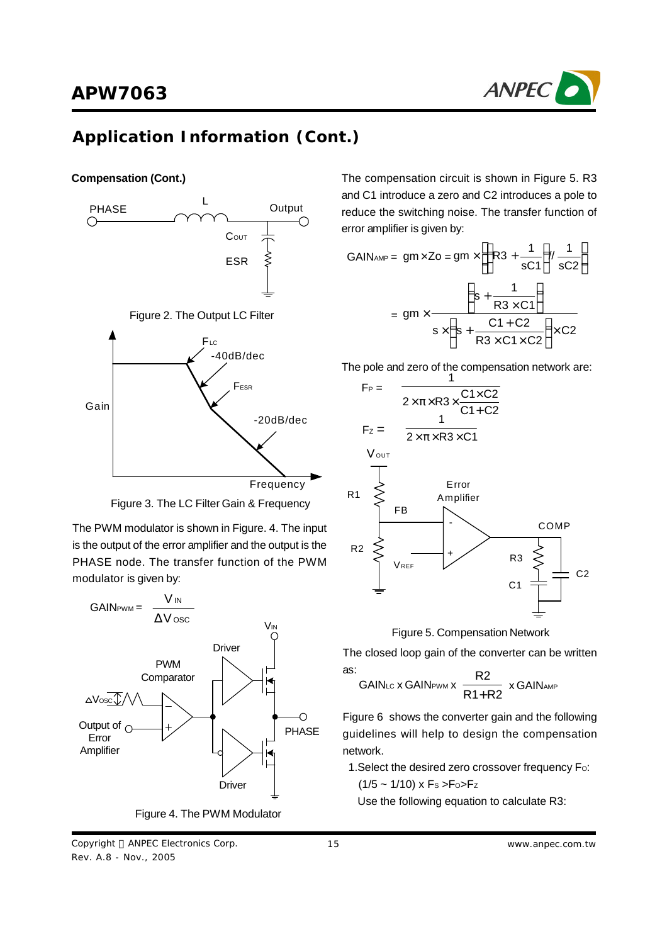

## **Application Information (Cont.)**

#### **Compensation (Cont.)**





The PWM modulator is shown in Figure. 4. The input is the output of the error amplifier and the output is the PHASE node. The transfer function of the PWM modulator is given by:



Figure 4. The PWM Modulator

Copyright © ANPEC Electronics Corp. Rev. A.8 - Nov., 2005

The compensation circuit is shown in Figure 5. R3 and C1 introduce a zero and C2 introduces a pole to reduce the switching noise. The transfer function of error amplifier is given by:

$$
GAIN_{AMP} = gm \times Zo = gm \times \left[ \left( R3 + \frac{1}{sC1} \right) / \frac{1}{sC2} \right]
$$

$$
= gm \times \frac{\left( s + \frac{1}{R3 \times C1} \right)}{s \times \left( s + \frac{C1 + C2}{R3 \times C1 \times C2} \right) \times C2}
$$

The pole and zero of the compensation network are:





The closed loop gain of the converter can be written as:  $R^2$ 

$$
GAIN_{LC} \times GAIN_{FWM} \times \frac{R2}{R1 + R2} \times GAIN_{AMP}
$$

Figure 6 shows the converter gain and the following guidelines will help to design the compensation network.

- 1. Select the desired zero crossover frequency Fo:
	- $(1/5 \sim 1/10)$  x Fs >Fo>Fz

Use the following equation to calculate R3: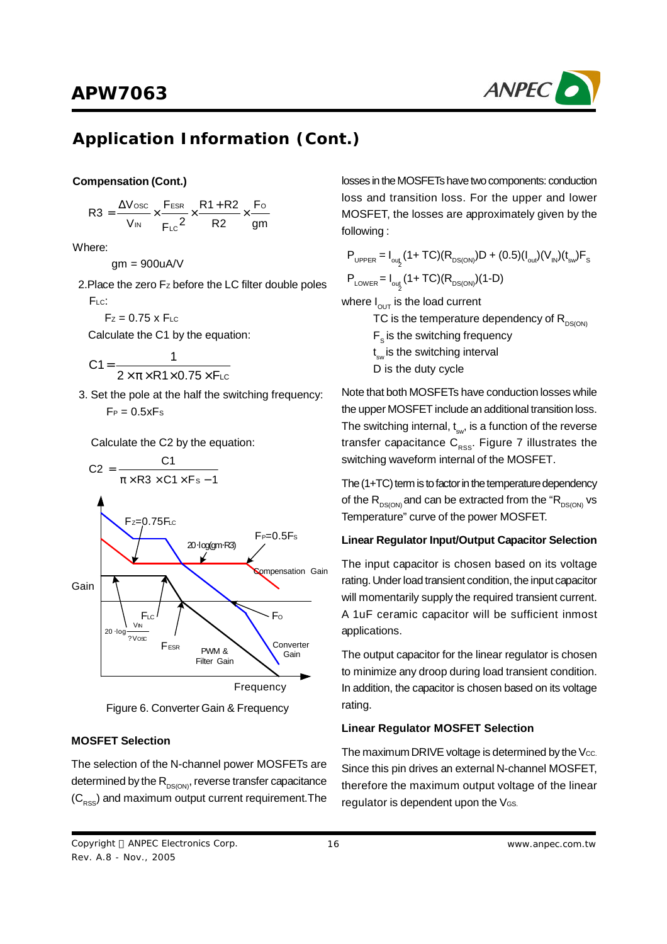

# **Application Information (Cont.)**

#### **Compensation (Cont.)**

$$
R3 = \frac{\Delta V_{\text{osc}}}{V_{\text{IN}}} \times \frac{F_{\text{ESR}}}{F_{\text{LC}}} \times \frac{R1 + R2}{R2} \times \frac{F_{\text{O}}}{gm}
$$

Where:

gm = 900uA/V

2 <sup>2</sup> .Place the zero F<sup>Z</sup> before the LC filter double poles F<sub>LC</sub>:

 $Fz = 0.75$  x  $F_{LC}$ 

Calculate the C1 by the equation:

$$
C1 = \frac{1}{2 \times \pi \times R1 \times 0.75 \times F_{LC}}
$$

3. Set the pole at the half the switching frequency:  $F_P = 0.5xFs$ 

Calculate the C2 by the equation:



Figure 6. Converter Gain & Frequency

## **MOSFET Selection**

The selection of the N-channel power MOSFETs are determined by the R<sub>DS(ON)</sub>, reverse transfer capacitance  $\left( \mathsf{C}_{\mathsf{RSS}} \right)$  and maximum output current requirement.The

losses in the MOSFETs have two components: conduction loss and transition loss. For the upper and lower MOSFET, the losses are approximately given by the following :

$$
P_{\text{UPPER}} = I_{\text{out}_2} (1 + TC)(R_{\text{DS(ON)}})D + (0.5)(I_{\text{out}})(V_{\text{IN}})(t_{\text{sw}})F_{\text{S}}
$$

$$
P_{\text{LOWER}} = I_{\text{out}_2} (1 + TC)(R_{\text{DS(ON)}})(1 - D)
$$

where  $\boldsymbol{\mathsf{I}}_{\mathsf{OUT}}$  is the load current

TC is the temperature dependency of  $R_{DS(ON)}$  $\mathsf{F}_\mathsf{s}$  is the switching frequency t<sub>sw</sub> is the switching interval D is the duty cycle

Note that both MOSFETs have conduction losses while the upper MOSFET include an additional transition loss. The switching internal,  $\mathfrak{t}_{\mathrm{sw}}$ , is a function of the reverse transfer capacitance C<sub>RSS</sub>. Figure 7 illustrates the switching waveform internal of the MOSFET.

The  $(1+TC)$  term is to factor in the temperature dependency of the  $\mathsf{R}_{\mathsf{DS}(\mathsf{ON})}$  and can be extracted from the " $\mathsf{R}_{\mathsf{DS}(\mathsf{ON})}$  vs Temperature" curve of the power MOSFET.

## **Linear Regulator Input/Output Capacitor Selection**

The input capacitor is chosen based on its voltage rating. Under load transient condition, the input capacitor will momentarily supply the required transient current. A 1uF ceramic capacitor will be sufficient inmost applications.

The output capacitor for the linear regulator is chosen to minimize any droop during load transient condition. In addition, the capacitor is chosen based on its voltage rating.

## **Linear Regulator MOSFET Selection**

The maximum DRIVE voltage is determined by the Vcc. Since this pin drives an external N-channel MOSFET, therefore the maximum output voltage of the linear regulator is dependent upon the VGS.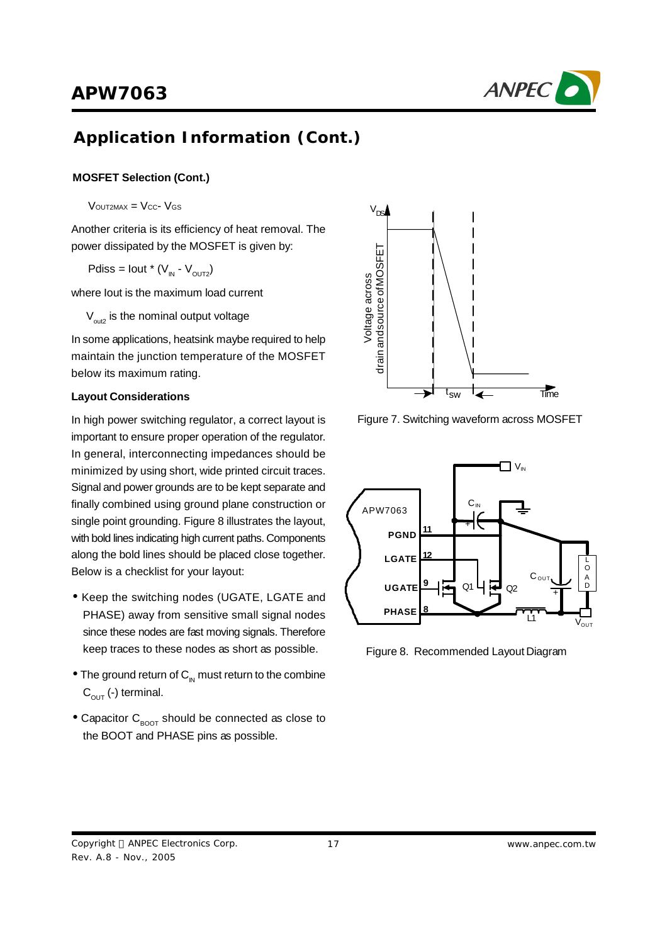

# **Application Information (Cont.)**

## **MOSFET Selection (Cont.)**

 $V$ OUT2MAX =  $V_{CC}$ -  $V_{GS}$ 

Another criteria is its efficiency of heat removal. The power dissipated by the MOSFET is given by:

Pdiss = lout \* ( $V_{IN}$  -  $V_{OUT2}$ )

where Iout is the maximum load current

 $\rm V_{\rm out2}$  is the nominal output voltage

In some applications, heatsink maybe required to help maintain the junction temperature of the MOSFET below its maximum rating.

#### **Layout Considerations**

In high power switching regulator, a correct layout is important to ensure proper operation of the regulator. In general, interconnecting impedances should be minimized by using short, wide printed circuit traces. Signal and power grounds are to be kept separate and finally combined using ground plane construction or single point grounding. Figure 8 illustrates the layout, with bold lines indicating high current paths. Components along the bold lines should be placed close together. Below is a checklist for your layout:

- **·** Keep the switching nodes (UGATE, LGATE and PHASE) away from sensitive small signal nodes since these nodes are fast moving signals. Therefore keep traces to these nodes as short as possible.
- The ground return of C<sub>IN</sub> must return to the combine  $\textsf{C}_{_\textsf{OUT}}$  (-) terminal.
- Capacitor C<sub>BOOT</sub> should be connected as close to the BOOT and PHASE pins as possible.



Figure 7. Switching waveform across MOSFET



Figure 8. Recommended Layout Diagram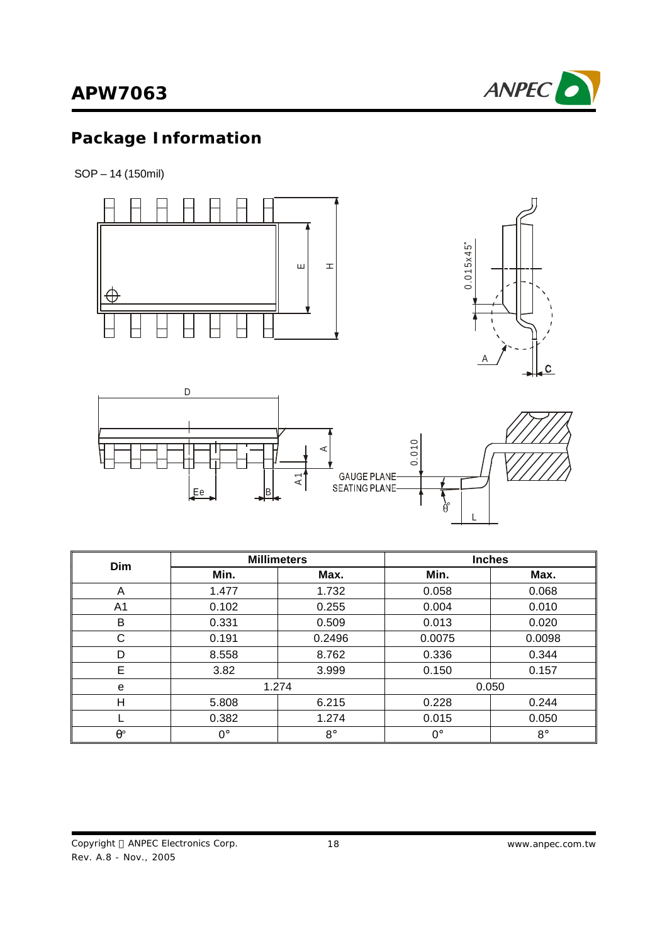# **APW7063**



# **Package Information**

SOP – 14 (150mil)



| <b>Dim</b>       | <b>Millimeters</b> |             | <b>Inches</b> |           |
|------------------|--------------------|-------------|---------------|-----------|
|                  | Min.               | Max.        | Min.          | Max.      |
| A                | 1.477              | 1.732       | 0.058         | 0.068     |
| A <sub>1</sub>   | 0.102              | 0.255       | 0.004         | 0.010     |
| В                | 0.331              | 0.509       | 0.013         | 0.020     |
| C                | 0.191              | 0.2496      | 0.0075        | 0.0098    |
| D                | 8.558              | 8.762       | 0.336         | 0.344     |
| E                | 3.82               | 3.999       | 0.150         | 0.157     |
| e                | 1.274              |             | 0.050         |           |
| н                | 5.808              | 6.215       | 0.228         | 0.244     |
|                  | 0.382              | 1.274       | 0.015         | 0.050     |
| $\theta^{\circ}$ | $0^{\circ}$        | $8^{\circ}$ | $0^{\circ}$   | $8^\circ$ |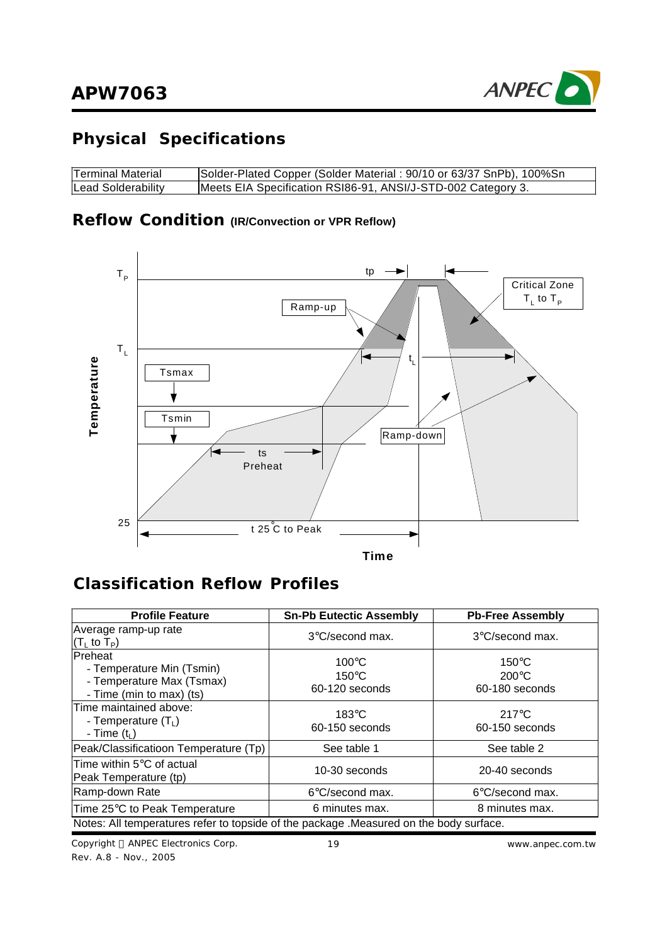

# **Physical Specifications**

| Terminal Material  | Solder-Plated Copper (Solder Material: 90/10 or 63/37 SnPb), 100%Sn |
|--------------------|---------------------------------------------------------------------|
| Lead Solderability | Meets EIA Specification RSI86-91, ANSI/J-STD-002 Category 3.        |

## **Reflow Condition (IR/Convection or VPR Reflow)**



## **Classification Reflow Profiles**

| <b>Profile Feature</b>                                                                        | <b>Sn-Pb Eutectic Assembly</b>                       | <b>Pb-Free Assembly</b>                              |
|-----------------------------------------------------------------------------------------------|------------------------------------------------------|------------------------------------------------------|
| Average ramp-up rate<br>$(T_L$ to $T_P$ )                                                     | $3^{\circ}$ C/second max.                            | $3^{\circ}$ C/second max.                            |
| Preheat<br>- Temperature Min (Tsmin)<br>- Temperature Max (Tsmax)<br>- Time (min to max) (ts) | $100^{\circ}$ C<br>$150^{\circ}$ C<br>60-120 seconds | $150^{\circ}$ C<br>$200^{\circ}$ C<br>60-180 seconds |
| Time maintained above:<br>- Temperature $(T_L)$<br>- Time $(ti)$                              | $183^\circ C$<br>60-150 seconds                      | $217^{\circ}$ C<br>60-150 seconds                    |
| Peak/Classificatioon Temperature (Tp)                                                         | See table 1                                          | See table 2                                          |
| Time within $5^{\circ}$ C of actual<br>Peak Temperature (tp)                                  | 10-30 seconds                                        | 20-40 seconds                                        |
| Ramp-down Rate                                                                                | $6^{\circ}$ C/second max.                            | $6^{\circ}$ C/second max.                            |
| Time 25°C to Peak Temperature                                                                 | 6 minutes max.                                       | 8 minutes max.                                       |
| Notes: All temperatures refer to topside of the package . Measured on the body surface.       |                                                      |                                                      |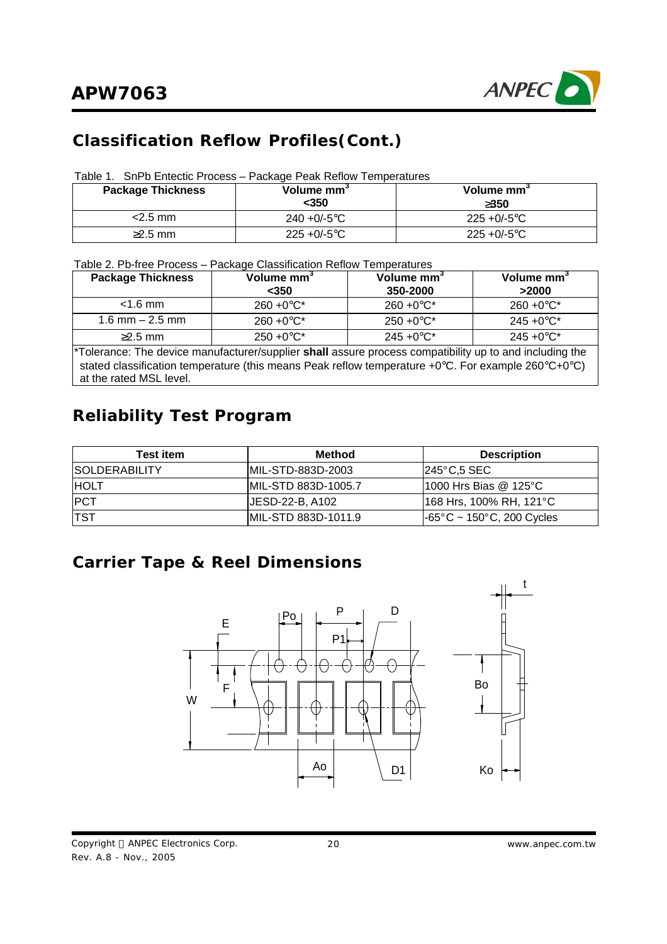

# **Classification Reflow Profiles(Cont.)**

| Table 1. SnPb Entectic Process - Package Peak Reflow Temperatures |
|-------------------------------------------------------------------|
|-------------------------------------------------------------------|

| <b>Package Thickness</b> | Volume mm <sup>3</sup><br><350 | Volume mm <sup>3</sup><br>3350 |
|--------------------------|--------------------------------|--------------------------------|
| $<$ 2.5 mm               | $240 + 0/-5$ °C                | $225 + 0/-5$ °C                |
| $\geq$ 2.5 mm            | $225 + 0/-5$ °C                | $225 + 0/-5$ °C                |

Table 2. Pb-free Process – Package Classification Reflow Temperatures

| <b>Package Thickness</b>                                                                                                                                                                                                                 | Volume mm <sup>3</sup> | Volume mm <sup>3</sup> | Volume mm <sup>3</sup> |  |  |  |
|------------------------------------------------------------------------------------------------------------------------------------------------------------------------------------------------------------------------------------------|------------------------|------------------------|------------------------|--|--|--|
|                                                                                                                                                                                                                                          | $350$                  | 350-2000               | >2000                  |  |  |  |
| $<$ 1.6 mm                                                                                                                                                                                                                               | $260 + 0^{\circ}C^{*}$ | $260 + 0^{\circ}C^{*}$ | $260 + 0^{\circ}C^{*}$ |  |  |  |
| $1.6$ mm $- 2.5$ mm                                                                                                                                                                                                                      | $260 + 0^{\circ}C^{*}$ | $250 + 0^{\circ}C^{*}$ | $245 + 0$ °C*          |  |  |  |
| $\geq$ 2.5 mm                                                                                                                                                                                                                            | $250 + 0^{\circ}C^*$   | $245 + 0$ °C*          | $245 + 0$ °C*          |  |  |  |
| *Tolerance: The device manufacturer/supplier shall assure process compatibility up to and including the<br>stated classification temperature (this means Peak reflow temperature +0°C. For example 260°C+0°C)<br>at the rated MSL level. |                        |                        |                        |  |  |  |

# **Reliability Test Program**

| <b>Test item</b>     | <b>Method</b>        | <b>Description</b>                             |
|----------------------|----------------------|------------------------------------------------|
| <b>SOLDERABILITY</b> | IMIL-STD-883D-2003   | $1245^{\circ}$ C.5 SEC                         |
| <b>HOLT</b>          | IMIL-STD 883D-1005.7 | 1000 Hrs Bias @ 125°C                          |
| <b>IPCT</b>          | IJESD-22-B. A102     | 168 Hrs, 100% RH, 121°C                        |
| <b>TST</b>           | MIL-STD 883D-1011.9  | $-65^{\circ}$ C ~ 150 $^{\circ}$ C, 200 Cycles |

## **Carrier Tape & Reel Dimensions**